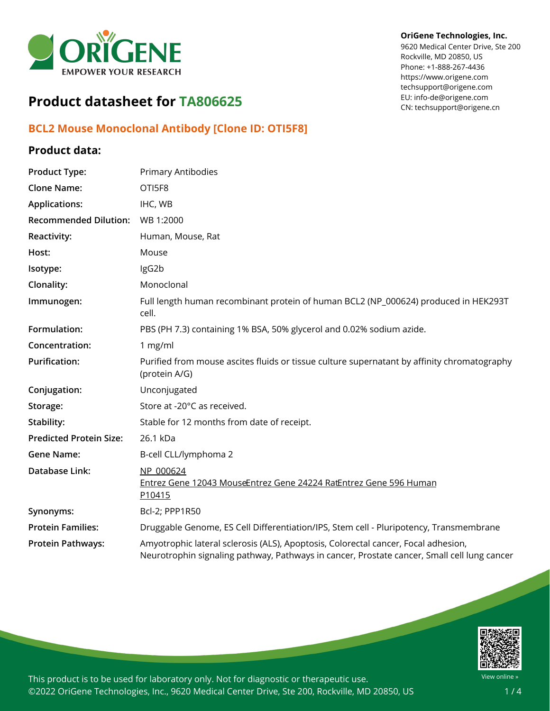

#### **OriGene Technologies, Inc.**

9620 Medical Center Drive, Ste 200 Rockville, MD 20850, US Phone: +1-888-267-4436 https://www.origene.com techsupport@origene.com EU: info-de@origene.com CN: techsupport@origene.cn

# **Product datasheet for TA806625**

# **BCL2 Mouse Monoclonal Antibody [Clone ID: OTI5F8]**

## **Product data:**

| <b>Product Type:</b>           | Primary Antibodies                                                                                                                                                                |
|--------------------------------|-----------------------------------------------------------------------------------------------------------------------------------------------------------------------------------|
| <b>Clone Name:</b>             | OTI5F8                                                                                                                                                                            |
| <b>Applications:</b>           | IHC, WB                                                                                                                                                                           |
| <b>Recommended Dilution:</b>   | WB 1:2000                                                                                                                                                                         |
| <b>Reactivity:</b>             | Human, Mouse, Rat                                                                                                                                                                 |
| Host:                          | Mouse                                                                                                                                                                             |
| Isotype:                       | IgG2b                                                                                                                                                                             |
| Clonality:                     | Monoclonal                                                                                                                                                                        |
| Immunogen:                     | Full length human recombinant protein of human BCL2 (NP_000624) produced in HEK293T<br>cell.                                                                                      |
| Formulation:                   | PBS (PH 7.3) containing 1% BSA, 50% glycerol and 0.02% sodium azide.                                                                                                              |
| Concentration:                 | 1 mg/ml                                                                                                                                                                           |
| <b>Purification:</b>           | Purified from mouse ascites fluids or tissue culture supernatant by affinity chromatography<br>(protein A/G)                                                                      |
| Conjugation:                   | Unconjugated                                                                                                                                                                      |
| Storage:                       | Store at -20°C as received.                                                                                                                                                       |
| Stability:                     | Stable for 12 months from date of receipt.                                                                                                                                        |
| <b>Predicted Protein Size:</b> | 26.1 kDa                                                                                                                                                                          |
| <b>Gene Name:</b>              | B-cell CLL/lymphoma 2                                                                                                                                                             |
| Database Link:                 | NP 000624<br>Entrez Gene 12043 MouseEntrez Gene 24224 RatEntrez Gene 596 Human<br>P10415                                                                                          |
| Synonyms:                      | Bcl-2; PPP1R50                                                                                                                                                                    |
| <b>Protein Families:</b>       | Druggable Genome, ES Cell Differentiation/IPS, Stem cell - Pluripotency, Transmembrane                                                                                            |
| <b>Protein Pathways:</b>       | Amyotrophic lateral sclerosis (ALS), Apoptosis, Colorectal cancer, Focal adhesion,<br>Neurotrophin signaling pathway, Pathways in cancer, Prostate cancer, Small cell lung cancer |



This product is to be used for laboratory only. Not for diagnostic or therapeutic use. ©2022 OriGene Technologies, Inc., 9620 Medical Center Drive, Ste 200, Rockville, MD 20850, US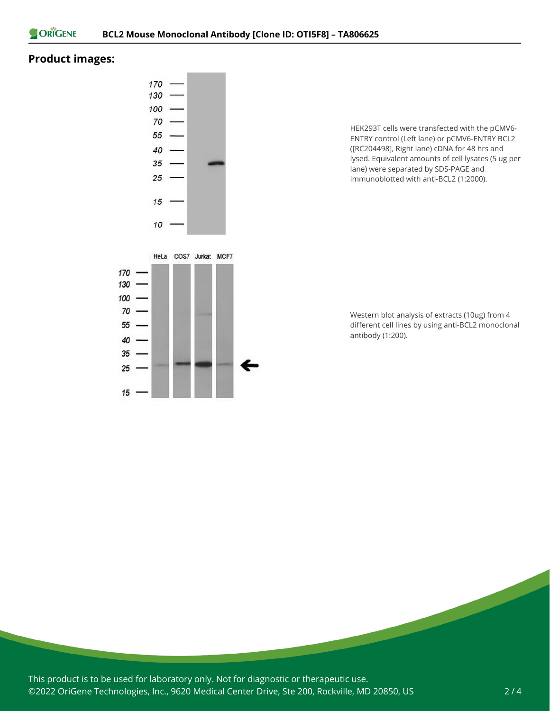

## **Product images:**



 $15$ 

HEK293T cells were transfected with the pCMV6- ENTRY control (Left lane) or pCMV6-ENTRY BCL2 ([RC204498], Right lane) cDNA for 48 hrs and lysed. Equivalent amounts of cell lysates (5 ug per lane) were separated by SDS-PAGE and immunoblotted with anti-BCL2 (1:2000).



This product is to be used for laboratory only. Not for diagnostic or therapeutic use. ©2022 OriGene Technologies, Inc., 9620 Medical Center Drive, Ste 200, Rockville, MD 20850, US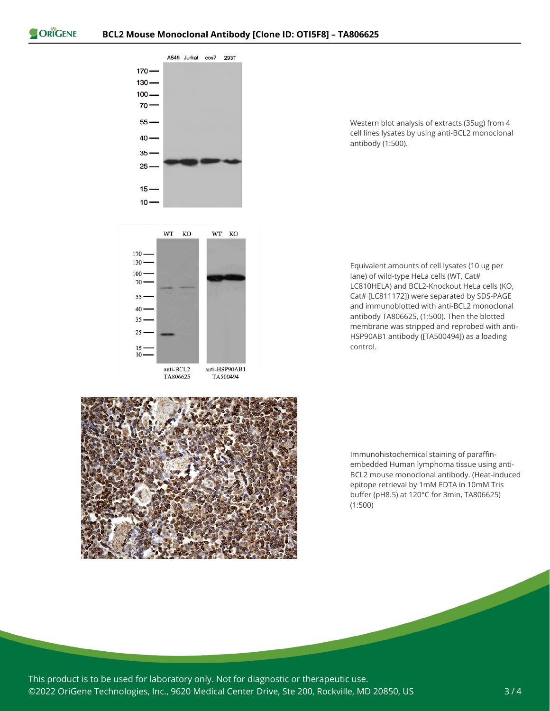

Western blot analysis of extracts (35ug) from 4 cell lines lysates by using anti-BCL2 monoclonal antibody (1:500).



Equivalent amounts of cell lysates (10 ug per lane) of wild-type HeLa cells (WT, Cat# LC810HELA) and BCL2-Knockout HeLa cells (KO, Cat# [LC811172]) were separated by SDS-PAGE and immunoblotted with anti-BCL2 monoclonal antibody TA806625, (1:500). Then the blotted membrane was stripped and reprobed with anti-HSP90AB1 antibody ([TA500494]) as a loading control.



Immunohistochemical staining of paraffinembedded Human lymphoma tissue using anti-BCL2 mouse monoclonal antibody. (Heat-induced epitope retrieval by 1mM EDTA in 10mM Tris buffer (pH8.5) at 120°C for 3min, TA806625) (1:500)

This product is to be used for laboratory only. Not for diagnostic or therapeutic use. ©2022 OriGene Technologies, Inc., 9620 Medical Center Drive, Ste 200, Rockville, MD 20850, US